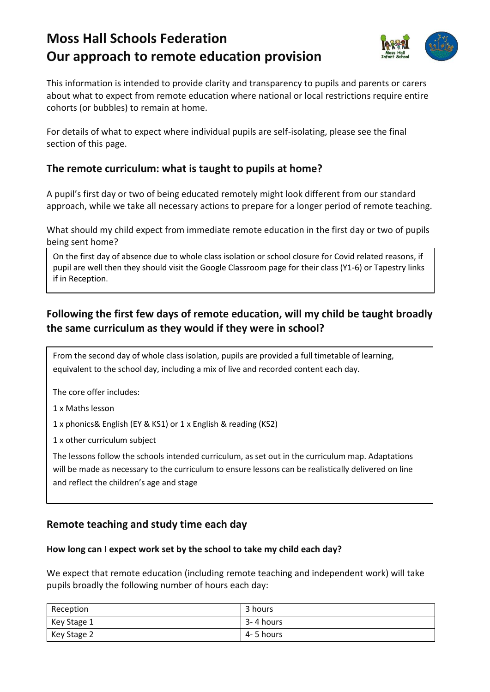# **Moss Hall Schools Federation Our approach to remote education provision**



This information is intended to provide clarity and transparency to pupils and parents or carers about what to expect from remote education where national or local restrictions require entire cohorts (or bubbles) to remain at home.

For details of what to expect where individual pupils are self-isolating, please see the final section of this page.

# **The remote curriculum: what is taught to pupils at home?**

A pupil's first day or two of being educated remotely might look different from our standard approach, while we take all necessary actions to prepare for a longer period of remote teaching.

What should my child expect from immediate remote education in the first day or two of pupils being sent home?

On the first day of absence due to whole class isolation or school closure for Covid related reasons, if pupil are well then they should visit the Google Classroom page for their class (Y1-6) or Tapestry links if in Reception.

# **Following the first few days of remote education, will my child be taught broadly the same curriculum as they would if they were in school?**

From the second day of whole class isolation, pupils are provided a full timetable of learning, equivalent to the school day, including a mix of live and recorded content each day.

The core offer includes:

1 x Maths lesson

1 x phonics& English (EY & KS1) or 1 x English & reading (KS2)

1 x other curriculum subject

The lessons follow the schools intended curriculum, as set out in the curriculum map. Adaptations will be made as necessary to the curriculum to ensure lessons can be realistically delivered on line and reflect the children's age and stage

# **Remote teaching and study time each day**

### **How long can I expect work set by the school to take my child each day?**

We expect that remote education (including remote teaching and independent work) will take pupils broadly the following number of hours each day:

| Reception   | 3 hours    |
|-------------|------------|
| Key Stage 1 | 3-4 hours  |
| Key Stage 2 | 4- 5 hours |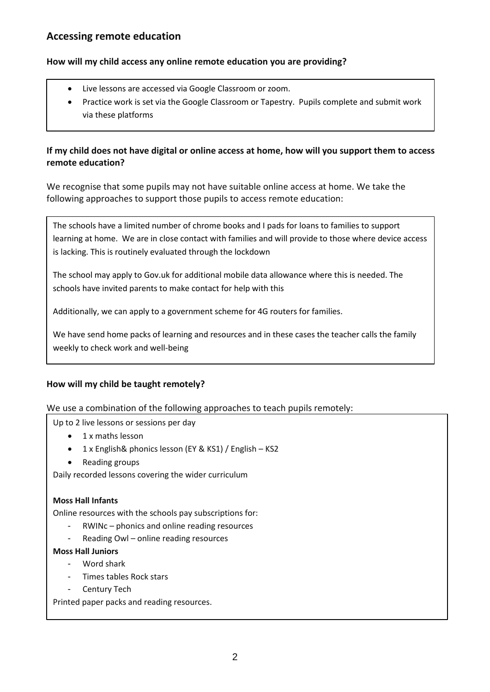# **Accessing remote education**

#### **How will my child access any online remote education you are providing?**

- Live lessons are accessed via Google Classroom or zoom.
- Practice work is set via the Google Classroom or Tapestry. Pupils complete and submit work via these platforms

### **If my child does not have digital or online access at home, how will you support them to access remote education?**

We recognise that some pupils may not have suitable online access at home. We take the following approaches to support those pupils to access remote education:

The schools have a limited number of chrome books and I pads for loans to families to support learning at home. We are in close contact with families and will provide to those where device access is lacking. This is routinely evaluated through the lockdown

The school may apply to Gov.uk for additional mobile data allowance where this is needed. The schools have invited parents to make contact for help with this

Additionally, we can apply to a government scheme for 4G routers for families.

We have send home packs of learning and resources and in these cases the teacher calls the family weekly to check work and well-being

### **How will my child be taught remotely?**

We use a combination of the following approaches to teach pupils remotely:

Up to 2 live lessons or sessions per day

- 1 x maths lesson
- 1 x English& phonics lesson (EY & KS1) / English KS2
- Reading groups

Daily recorded lessons covering the wider curriculum

#### **Moss Hall Infants**

Online resources with the schools pay subscriptions for:

- RWINc phonics and online reading resources
- Reading Owl online reading resources

#### **Moss Hall Juniors**

- Word shark
- Times tables Rock stars
- Century Tech

Printed paper packs and reading resources.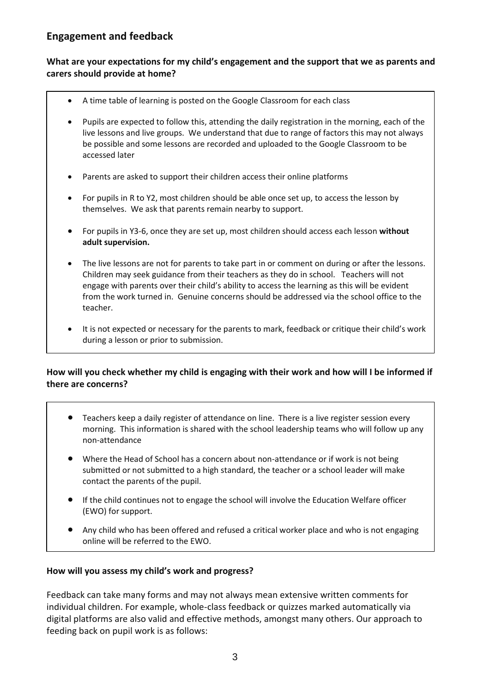# **Engagement and feedback**

#### **What are your expectations for my child's engagement and the support that we as parents and carers should provide at home?**

- A time table of learning is posted on the Google Classroom for each class
- Pupils are expected to follow this, attending the daily registration in the morning, each of the live lessons and live groups. We understand that due to range of factors this may not always be possible and some lessons are recorded and uploaded to the Google Classroom to be accessed later
- Parents are asked to support their children access their online platforms
- For pupils in R to Y2, most children should be able once set up, to access the lesson by themselves. We ask that parents remain nearby to support.
- For pupils in Y3-6, once they are set up, most children should access each lesson **without adult supervision.**
- The live lessons are not for parents to take part in or comment on during or after the lessons. Children may seek guidance from their teachers as they do in school. Teachers will not engage with parents over their child's ability to access the learning as this will be evident from the work turned in. Genuine concerns should be addressed via the school office to the teacher.
- It is not expected or necessary for the parents to mark, feedback or critique their child's work during a lesson or prior to submission.

## **How will you check whether my child is engaging with their work and how will I be informed if there are concerns?**

- morning. This information is shared with the school leadership teams who will follow up any Teachers keep a daily register of attendance on line. There is a live register session every non-attendance
	- Where the Head of School has a concern about non-attendance or if work is not being submitted or not submitted to a high standard, the teacher or a school leader will make contact the parents of the pupil.
	- If the child continues not to engage the school will involve the Education Welfare officer (EWO) for support.
	- Any child who has been offered and refused a critical worker place and who is not engaging online will be referred to the EWO.

### **How will you assess my child's work and progress?**

Feedback can take many forms and may not always mean extensive written comments for individual children. For example, whole-class feedback or quizzes marked automatically via digital platforms are also valid and effective methods, amongst many others. Our approach to feeding back on pupil work is as follows: